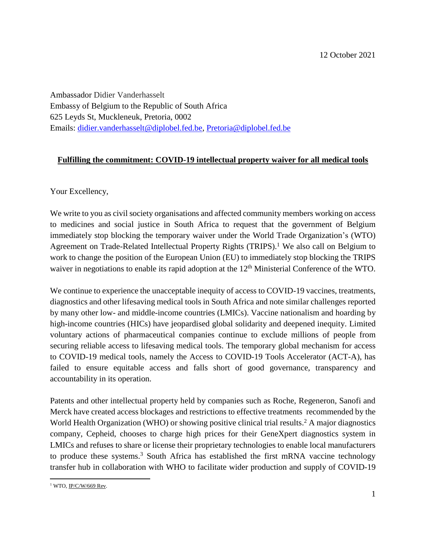Ambassador Didier Vanderhasselt Embassy of Belgium to the Republic of South Africa 625 Leyds St, Muckleneuk, Pretoria, 0002 Emails: [didier.vanderhasselt@diplobel.fed.be,](mailto:didier.vanderhasselt@diplobel.fed.be) [Pretoria@diplobel.fed.be](mailto:Pretoria@diplobel.fed.be) 

## **Fulfilling the commitment: COVID-19 intellectual property waiver for all medical tools**

Your Excellency,

We write to you as civil society organisations and affected community members working on access to medicines and social justice in South Africa to request that the government of Belgium immediately stop blocking the temporary waiver under the World Trade Organization's (WTO) Agreement on Trade-Related Intellectual Property Rights (TRIPS).<sup>1</sup> We also call on Belgium to work to change the position of the European Union (EU) to immediately stop blocking the TRIPS waiver in negotiations to enable its rapid adoption at the 12<sup>th</sup> Ministerial Conference of the WTO.

We continue to experience the unacceptable inequity of access to COVID-19 vaccines, treatments, diagnostics and other lifesaving medical tools in South Africa and note similar challenges reported by many other low- and middle-income countries (LMICs). Vaccine nationalism and hoarding by high-income countries (HICs) have jeopardised global solidarity and deepened inequity. Limited voluntary actions of pharmaceutical companies continue to exclude millions of people from securing reliable access to lifesaving medical tools. The temporary global mechanism for access to COVID-19 medical tools, namely the Access to COVID-19 Tools Accelerator (ACT-A), has failed to ensure equitable access and falls short of good governance, transparency and accountability in its operation.

Patents and other intellectual property held by companies such as Roche, Regeneron, Sanofi and Merck have created access blockages and restrictions to effective treatments recommended by the World Health Organization (WHO) or showing positive clinical trial results. <sup>2</sup> A major diagnostics company, Cepheid, chooses to charge high prices for their GeneXpert diagnostics system in LMICs and refuses to share or license their proprietary technologies to enable local manufacturers to produce these systems. <sup>3</sup> South Africa has established the first mRNA vaccine technology transfer hub in collaboration with WHO to facilitate wider production and supply of COVID-19

 $\overline{\phantom{a}}$ <sup>1</sup> WTO, <u>IP/C/W/669 Rev</u>.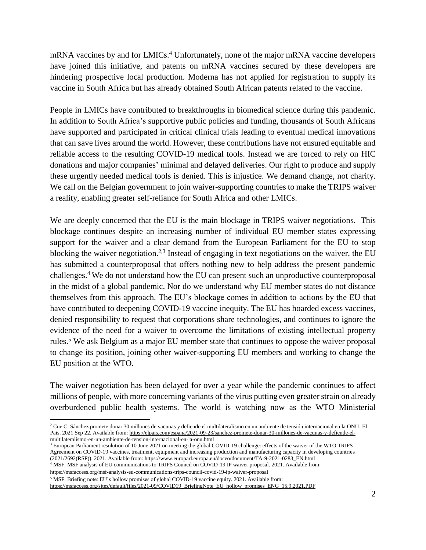mRNA vaccines by and for LMICs. <sup>4</sup> Unfortunately, none of the major mRNA vaccine developers have joined this initiative, and patents on mRNA vaccines secured by these developers are hindering prospective local production. Moderna has not applied for registration to supply its vaccine in South Africa but has already obtained South African patents related to the vaccine.

People in LMICs have contributed to breakthroughs in biomedical science during this pandemic. In addition to South Africa's supportive public policies and funding, thousands of South Africans have supported and participated in critical clinical trials leading to eventual medical innovations that can save lives around the world. However, these contributions have not ensured equitable and reliable access to the resulting COVID-19 medical tools. Instead we are forced to rely on HIC donations and major companies' minimal and delayed deliveries. Our right to produce and supply these urgently needed medical tools is denied. This is injustice. We demand change, not charity. We call on the Belgian government to join waiver-supporting countries to make the TRIPS waiver a reality, enabling greater self-reliance for South Africa and other LMICs.

We are deeply concerned that the EU is the main blockage in TRIPS waiver negotiations. This blockage continues despite an increasing number of individual EU member states expressing support for the waiver and a clear demand from the European Parliament for the EU to stop blocking the waiver negotiation.<sup>2,3</sup> Instead of engaging in text negotiations on the waiver, the EU has submitted a counterproposal that offers nothing new to help address the present pandemic challenges.<sup>4</sup> We do not understand how the EU can present such an unproductive counterproposal in the midst of a global pandemic. Nor do we understand why EU member states do not distance themselves from this approach. The EU's blockage comes in addition to actions by the EU that have contributed to deepening COVID-19 vaccine inequity. The EU has hoarded excess vaccines, denied responsibility to request that corporations share technologies, and continues to ignore the evidence of the need for a waiver to overcome the limitations of existing intellectual property rules. <sup>5</sup> We ask Belgium as a major EU member state that continues to oppose the waiver proposal to change its position, joining other waiver-supporting EU members and working to change the EU position at the WTO.

The waiver negotiation has been delayed for over a year while the pandemic continues to affect millions of people, with more concerning variants of the virus putting even greater strain on already overburdened public health systems. The world is watching now as the WTO Ministerial

<sup>3</sup> European Parliament resolution of 10 June 2021 on meeting the global COVID-19 challenge: effects of the waiver of the WTO TRIPS Agreement on COVID-19 vaccines, treatment, equipment and increasing production and manufacturing capacity in developing countries (2021/2692(RSP)). 2021. Available from: [https://www.europarl.europa.eu/doceo/document/TA-9-2021-0283\\_EN.html](https://www.europarl.europa.eu/doceo/document/TA-9-2021-0283_EN.html)

<sup>4</sup> MSF. MSF analysis of EU communications to TRIPS Council on COVID-19 IP waiver proposal. 2021. Available from: <https://msfaccess.org/msf-analysis-eu-communications-trips-council-covid-19-ip-waiver-proposal>

<sup>5</sup> MSF. Briefing note: EU's hollow promises of global COVID-19 vaccine equity. 2021. Available from:

 $\overline{\phantom{a}}$ 

[https://msfaccess.org/sites/default/files/2021-09/COVID19\\_BriefingNote\\_EU\\_hollow\\_promises\\_ENG\\_15.9.2021.PDF](https://msfaccess.org/sites/default/files/2021-09/COVID19_BriefingNote_EU_hollow_promises_ENG_15.9.2021.PDF)

<sup>2</sup> Cue C. Sánchez promete donar 30 millones de vacunas y defiende el multilateralismo en un ambiente de tensión internacional en la ONU. El Pais. 2021 Sep 22. Available from[: https://elpais.com/espana/2021-09-23/sanchez-promete-donar-30-millones-de-vacunas-y-defiende-el](https://elpais.com/espana/2021-09-23/sanchez-promete-donar-30-millones-de-vacunas-y-defiende-el-multilateralismo-en-un-ambiente-de-tension-internacional-en-la-onu.html)[multilateralismo-en-un-ambiente-de-tension-internacional-en-la-onu.html](https://elpais.com/espana/2021-09-23/sanchez-promete-donar-30-millones-de-vacunas-y-defiende-el-multilateralismo-en-un-ambiente-de-tension-internacional-en-la-onu.html)